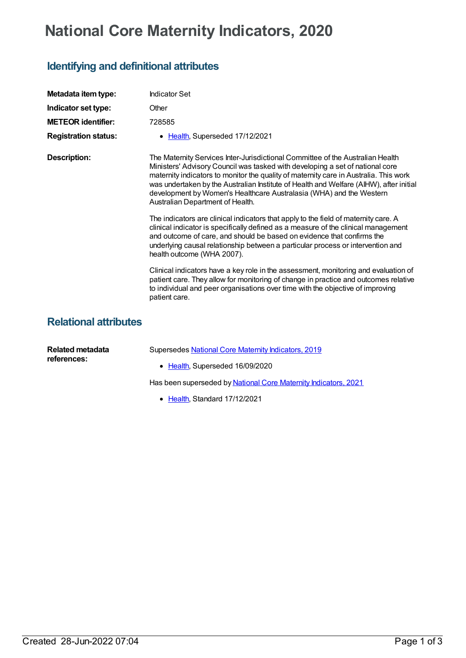## **National Core Maternity Indicators, 2020**

## **Identifying and definitional attributes**

| Metadata item type:          | <b>Indicator Set</b>                                                                                                                                                                                                                                                                                                                                                                                                                                          |
|------------------------------|---------------------------------------------------------------------------------------------------------------------------------------------------------------------------------------------------------------------------------------------------------------------------------------------------------------------------------------------------------------------------------------------------------------------------------------------------------------|
| Indicator set type:          | Other                                                                                                                                                                                                                                                                                                                                                                                                                                                         |
| <b>METEOR</b> identifier:    | 728585                                                                                                                                                                                                                                                                                                                                                                                                                                                        |
| <b>Registration status:</b>  | • Health, Superseded 17/12/2021                                                                                                                                                                                                                                                                                                                                                                                                                               |
| <b>Description:</b>          | The Maternity Services Inter-Jurisdictional Committee of the Australian Health<br>Ministers' Advisory Council was tasked with developing a set of national core<br>maternity indicators to monitor the quality of maternity care in Australia. This work<br>was undertaken by the Australian Institute of Health and Welfare (AIHW), after initial<br>development by Women's Healthcare Australasia (WHA) and the Western<br>Australian Department of Health. |
|                              | The indicators are clinical indicators that apply to the field of maternity care. A<br>clinical indicator is specifically defined as a measure of the clinical management<br>and outcome of care, and should be based on evidence that confirms the<br>underlying causal relationship between a particular process or intervention and<br>health outcome (WHA 2007).                                                                                          |
|                              | Clinical indicators have a key role in the assessment, monitoring and evaluation of<br>patient care. They allow for monitoring of change in practice and outcomes relative<br>to individual and peer organisations over time with the objective of improving<br>patient care.                                                                                                                                                                                 |
| <b>Relational attributes</b> |                                                                                                                                                                                                                                                                                                                                                                                                                                                               |

| Related metadata<br>references: | Supersedes National Core Maternity Indicators, 2019             |  |
|---------------------------------|-----------------------------------------------------------------|--|
|                                 | • Health, Superseded 16/09/2020                                 |  |
|                                 | Has been superseded by National Core Maternity Indicators, 2021 |  |
|                                 | • Health, Standard 17/12/2021                                   |  |

Created 28-Jun-2022 07:04 Page 1 of 3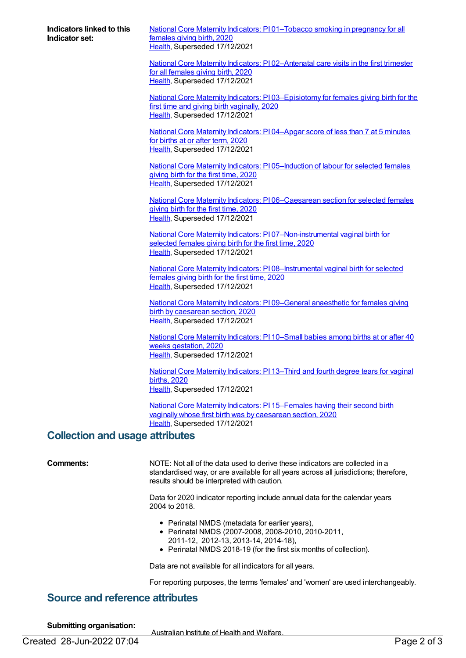**Indicators linked to this Indicator set:**

National Core Maternity Indicators: PI [01–Tobacco](https://meteor.aihw.gov.au/content/728588) smoking in pregnancy for all females giving birth, 2020 [Health](https://meteor.aihw.gov.au/RegistrationAuthority/12), Superseded 17/12/2021

National Core Maternity Indicators: P102-Antenatal care visits in the first trimester for all females giving birth, 2020 [Health](https://meteor.aihw.gov.au/RegistrationAuthority/12), Superseded 17/12/2021

National Core Maternity Indicators: PI [03–Episiotomy](https://meteor.aihw.gov.au/content/728716) for females giving birth for the first time and giving birth vaginally, 2020 [Health](https://meteor.aihw.gov.au/RegistrationAuthority/12), Superseded 17/12/2021

National Core Maternity [Indicators:](https://meteor.aihw.gov.au/content/728719) PI 04–Apgar score of less than 7 at 5 minutes for births at or after term, 2020 [Health](https://meteor.aihw.gov.au/RegistrationAuthority/12), Superseded 17/12/2021

National Core Maternity Indicators: PI 05-Induction of labour for selected females giving birth for the first time, 2020 [Health](https://meteor.aihw.gov.au/RegistrationAuthority/12), Superseded 17/12/2021

National Core Maternity Indicators: PI [06–Caesarean](https://meteor.aihw.gov.au/content/728723) section for selected females giving birth for the first time, 2020 [Health](https://meteor.aihw.gov.au/RegistrationAuthority/12), Superseded 17/12/2021

National Core Maternity Indicators: PI [07–Non-instrumental](https://meteor.aihw.gov.au/content/728725) vaginal birth for selected females giving birth for the first time, 2020 [Health](https://meteor.aihw.gov.au/RegistrationAuthority/12), Superseded 17/12/2021

National Core Maternity Indicators: PI 08-Instrumental vaginal birth for selected females giving birth for the first time, 2020 [Health](https://meteor.aihw.gov.au/RegistrationAuthority/12), Superseded 17/12/2021

National Core Maternity Indicators: PI [09–General](https://meteor.aihw.gov.au/content/728730) anaesthetic for females giving birth by caesarean section, 2020 [Health](https://meteor.aihw.gov.au/RegistrationAuthority/12), Superseded 17/12/2021

National Core Maternity [Indicators:](https://meteor.aihw.gov.au/content/728732) PI 10–Small babies among births at or after 40 weeks gestation, 2020 [Health](https://meteor.aihw.gov.au/RegistrationAuthority/12), Superseded 17/12/2021

National Core Maternity [Indicators:](https://meteor.aihw.gov.au/content/728734) PI 13–Third and fourth degree tears for vaginal births, 2020 [Health](https://meteor.aihw.gov.au/RegistrationAuthority/12), Superseded 17/12/2021

National Core Maternity Indicators: PI [15–Females](https://meteor.aihw.gov.au/content/728736) having their second birth vaginally whose first birth was by caesarean section, 2020 [Health](https://meteor.aihw.gov.au/RegistrationAuthority/12), Superseded 17/12/2021

## **Collection and usage attributes**

**Comments:** NOTE: Not all of the data used to derive these indicators are collected in a standardised way, or are available for all years across all jurisdictions; therefore, results should be interpreted with caution.

> Data for 2020 indicator reporting include annual data for the calendar years 2004 to 2018.

- Perinatal NMDS (metadata for earlier years),
- Perinatal NMDS (2007-2008, 2008-2010, 2010-2011, 2011-12, 2012-13, 2013-14, 2014-18),
- Perinatal NMDS 2018-19 (for the first six months of collection).

Data are not available for all indicators for all years.

For reporting purposes, the terms 'females' and 'women' are used interchangeably.

## **Source and reference attributes**

**Submitting organisation:**

Australian Institute of Health and Welfare.